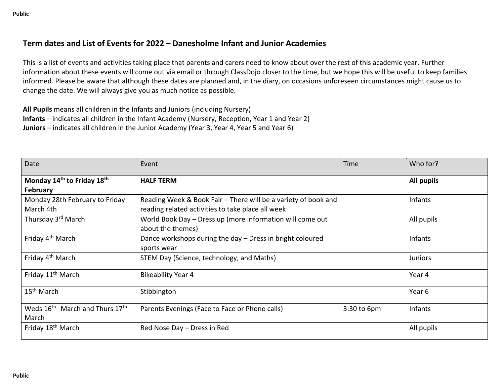## **Term dates and List of Events for 2022 – Danesholme Infant and Junior Academies**

This is a list of events and activities taking place that parents and carers need to know about over the rest of this academic year. Further information about these events will come out via email or through ClassDojo closer to the time, but we hope this will be useful to keep families informed. Please be aware that although these dates are planned and, in the diary, on occasions unforeseen circumstances might cause us to change the date. We will always give you as much notice as possible.

**All Pupils** means all children in the Infants and Juniors (including Nursery) **Infants** – indicates all children in the Infant Academy (Nursery, Reception, Year 1 and Year 2) **Juniors** – indicates all children in the Junior Academy (Year 3, Year 4, Year 5 and Year 6)

| Date                                                            | Event                                                                          | Time        | Who for?       |
|-----------------------------------------------------------------|--------------------------------------------------------------------------------|-------------|----------------|
| Monday 14 <sup>th</sup> to Friday 18 <sup>th</sup>              | <b>HALF TERM</b>                                                               |             | All pupils     |
| February                                                        |                                                                                |             |                |
| Monday 28th February to Friday                                  | Reading Week & Book Fair – There will be a variety of book and                 |             | <b>Infants</b> |
| March 4th                                                       | reading related activities to take place all week                              |             |                |
| Thursday 3 <sup>rd</sup> March                                  | World Book Day - Dress up (more information will come out<br>about the themes) |             | All pupils     |
| Friday 4 <sup>th</sup> March                                    | Dance workshops during the day - Dress in bright coloured<br>sports wear       |             | <b>Infants</b> |
| Friday 4 <sup>th</sup> March                                    | STEM Day (Science, technology, and Maths)                                      |             | <b>Juniors</b> |
| Friday 11 <sup>th</sup> March                                   | <b>Bikeability Year 4</b>                                                      |             | Year 4         |
| 15 <sup>th</sup> March                                          | Stibbington                                                                    |             | Year 6         |
| Weds 16 <sup>th</sup> March and Thurs 17 <sup>th</sup><br>March | Parents Evenings (Face to Face or Phone calls)                                 | 3:30 to 6pm | <b>Infants</b> |
| Friday 18 <sup>th</sup> March                                   | Red Nose Day - Dress in Red                                                    |             | All pupils     |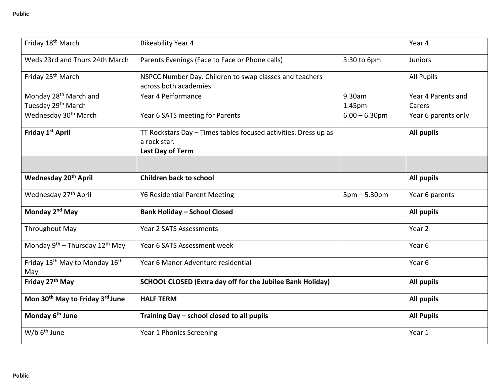| Friday 18 <sup>th</sup> March                                       | <b>Bikeability Year 4</b>                                                                           |                  | Year 4                       |
|---------------------------------------------------------------------|-----------------------------------------------------------------------------------------------------|------------------|------------------------------|
| Weds 23rd and Thurs 24th March                                      | Parents Evenings (Face to Face or Phone calls)                                                      | 3:30 to 6pm      | <b>Juniors</b>               |
| Friday 25 <sup>th</sup> March                                       | NSPCC Number Day. Children to swap classes and teachers<br>across both academies.                   |                  | <b>All Pupils</b>            |
| Monday 28 <sup>th</sup> March and<br>Tuesday 29 <sup>th</sup> March | Year 4 Performance                                                                                  | 9.30am<br>1.45pm | Year 4 Parents and<br>Carers |
| Wednesday 30 <sup>th</sup> March                                    | Year 6 SATS meeting for Parents                                                                     | $6.00 - 6.30$ pm | Year 6 parents only          |
| Friday 1 <sup>st</sup> April                                        | TT Rockstars Day - Times tables focused activities. Dress up as<br>a rock star.<br>Last Day of Term |                  | <b>All pupils</b>            |
| Wednesday 20 <sup>th</sup> April                                    | <b>Children back to school</b>                                                                      |                  | <b>All pupils</b>            |
| Wednesday 27 <sup>th</sup> April                                    | <b>Y6 Residential Parent Meeting</b>                                                                | $5pm - 5.30pm$   | Year 6 parents               |
| Monday 2 <sup>nd</sup> May                                          | <b>Bank Holiday - School Closed</b>                                                                 |                  | <b>All pupils</b>            |
| <b>Throughout May</b>                                               | Year 2 SATS Assessments                                                                             |                  | Year 2                       |
| Monday $9^{th}$ – Thursday 12 <sup>th</sup> May                     | Year 6 SATS Assessment week                                                                         |                  | Year <sub>6</sub>            |
| Friday 13 <sup>th</sup> May to Monday 16 <sup>th</sup><br>May       | Year 6 Manor Adventure residential                                                                  |                  | Year 6                       |
| Friday 27 <sup>th</sup> May                                         | SCHOOL CLOSED (Extra day off for the Jubilee Bank Holiday)                                          |                  | <b>All pupils</b>            |
| Mon 30 <sup>th</sup> May to Friday 3 <sup>rd</sup> June             | <b>HALF TERM</b>                                                                                    |                  | <b>All pupils</b>            |
| Monday 6 <sup>th</sup> June                                         | Training Day - school closed to all pupils                                                          |                  | <b>All Pupils</b>            |
| W/b 6 <sup>th</sup> June                                            | Year 1 Phonics Screening                                                                            |                  | Year 1                       |